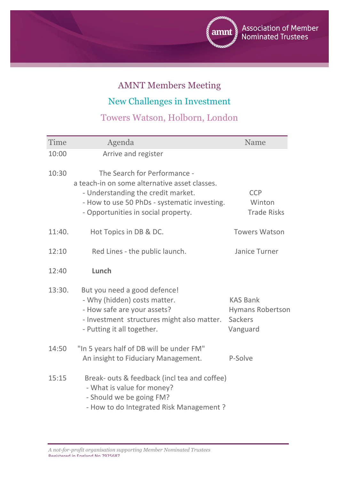

## AMNT Members Meeting

New Challenges in Investment

Towers Watson, Holborn, London

| Time   | Agenda                                                                                                                                                                                                     | Name                                                                     |
|--------|------------------------------------------------------------------------------------------------------------------------------------------------------------------------------------------------------------|--------------------------------------------------------------------------|
| 10:00  | Arrive and register                                                                                                                                                                                        |                                                                          |
| 10:30  | The Search for Performance -<br>a teach-in on some alternative asset classes.<br>- Understanding the credit market.<br>- How to use 50 PhDs - systematic investing.<br>- Opportunities in social property. | <b>CCP</b><br>Winton<br><b>Trade Risks</b>                               |
| 11:40. | Hot Topics in DB & DC.                                                                                                                                                                                     | <b>Towers Watson</b>                                                     |
| 12:10  | Red Lines - the public launch.                                                                                                                                                                             | Janice Turner                                                            |
| 12:40  | Lunch                                                                                                                                                                                                      |                                                                          |
| 13:30. | But you need a good defence!<br>- Why (hidden) costs matter.<br>- How safe are your assets?<br>- Investment structures might also matter.<br>- Putting it all together.                                    | <b>KAS Bank</b><br><b>Hymans Robertson</b><br><b>Sackers</b><br>Vanguard |
| 14:50  | "In 5 years half of DB will be under FM"<br>An insight to Fiduciary Management.                                                                                                                            | P-Solve                                                                  |
| 15:15  | Break- outs & feedback (incl tea and coffee)<br>- What is value for money?<br>- Should we be going FM?<br>- How to do Integrated Risk Management?                                                          |                                                                          |